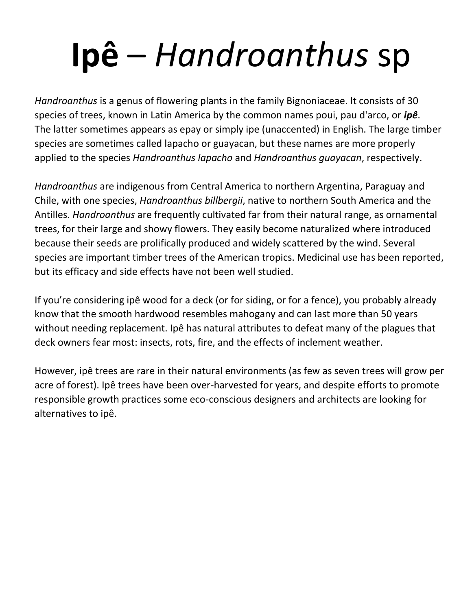# **Ipê** – *Handroanthus* sp

*Handroanthus* is a genus of flowering plants in the family Bignoniaceae. It consists of 30 species of trees, known in Latin America by the common names poui, pau d'arco, or *ipê*. The latter sometimes appears as epay or simply ipe (unaccented) in English. The large timber species are sometimes called lapacho or guayacan, but these names are more properly applied to the species *Handroanthus lapacho* and *Handroanthus guayacan*, respectively.

*Handroanthus* are indigenous from Central America to northern Argentina, Paraguay and Chile, with one species, *Handroanthus billbergii*, native to northern South America and the Antilles. *Handroanthus* are frequently cultivated far from their natural range, as ornamental trees, for their large and showy flowers. They easily become naturalized where introduced because their seeds are prolifically produced and widely scattered by the wind. Several species are important timber trees of the American tropics. Medicinal use has been reported, but its efficacy and side effects have not been well studied.

If you're considering ipê wood for a deck (or for siding, or for a fence), you probably already know that the smooth hardwood resembles mahogany and can last more than 50 years without needing replacement. Ipê has natural attributes to defeat many of the plagues that deck owners fear most: insects, rots, fire, and the effects of inclement weather.

However, ipê trees are rare in their natural environments (as few as seven trees will grow per acre of forest). Ipê trees have been over-harvested for years, and despite efforts to promote responsible growth practices some eco-conscious designers and architects are looking for alternatives to ipê.